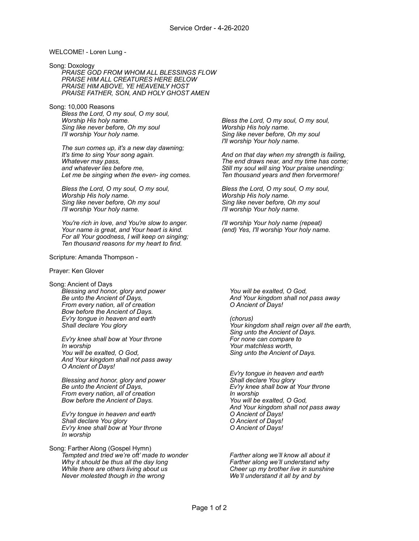## WELCOME! - Loren Lung -

Song: Doxology *PRAISE GOD FROM WHOM ALL BLESSINGS FLOW PRAISE HIM ALL CREATURES HERE BELOW PRAISE HIM ABOVE, YE HEAVENLY HOST PRAISE FATHER, SON, AND HOLY GHOST AMEN* 

Song: 10,000 Reasons *Bless the Lord, O my soul, O my soul, Worship His holy name. Sing like never before, Oh my soul I'll worship Your holy name.* 

> *The sun comes up, it's a new day dawning; It's time to sing Your song again. Whatever may pass, and whatever lies before me, Let me be singing when the even- ing comes.*

*Bless the Lord, O my soul, O my soul, Worship His holy name. Sing like never before, Oh my soul I'll worship Your holy name.* 

*You're rich in love, and You're slow to anger. Your name is great, and Your heart is kind. For all Your goodness, I will keep on singing; Ten thousand reasons for my heart to find.* 

Scripture: Amanda Thompson -

## Prayer: Ken Glover

Song: Ancient of Days *Blessing and honor, glory and power Be unto the Ancient of Days, From every nation, all of creation Bow before the Ancient of Days. Ev'ry tongue in heaven and earth Shall declare You glory* 

*Ev'ry knee shall bow at Your throne In worship You will be exalted, O God, And Your kingdom shall not pass away O Ancient of Days!* 

*Blessing and honor, glory and power Be unto the Ancient of Days, From every nation, all of creation Bow before the Ancient of Days.* 

*Ev'ry tongue in heaven and earth Shall declare You glory Ev'ry knee shall bow at Your throne In worship* 

Song: Farther Along (Gospel Hymn) *Tempted and tried we're oft' made to wonder Why it should be thus all the day long While there are others living about us Never molested though in the wrong* 

*Bless the Lord, O my soul, O my soul, Worship His holy name. Sing like never before, Oh my soul I'll worship Your holy name.* 

*And on that day when my strength is failing, The end draws near, and my time has come; Still my soul will sing Your praise unending: Ten thousand years and then forvermore!* 

*Bless the Lord, O my soul, O my soul, Worship His holy name. Sing like never before, Oh my soul I'll worship Your holy name.* 

*I'll worship Your holy name (repeat) (end) Yes, I'll worship Your holy name.* 

*You will be exalted, O God, And Your kingdom shall not pass away O Ancient of Days!* 

*(chorus) Your kingdom shall reign over all the earth, Sing unto the Ancient of Days. For none can compare to Your matchless worth, Sing unto the Ancient of Days.* 

*Ev'ry tongue in heaven and earth Shall declare You glory Ev'ry knee shall bow at Your throne In worship You will be exalted, O God, And Your kingdom shall not pass away O Ancient of Days! O Ancient of Days! O Ancient of Days!* 

*Farther along we'll know all about it Farther along we'll understand why Cheer up my brother live in sunshine We'll understand it all by and by*